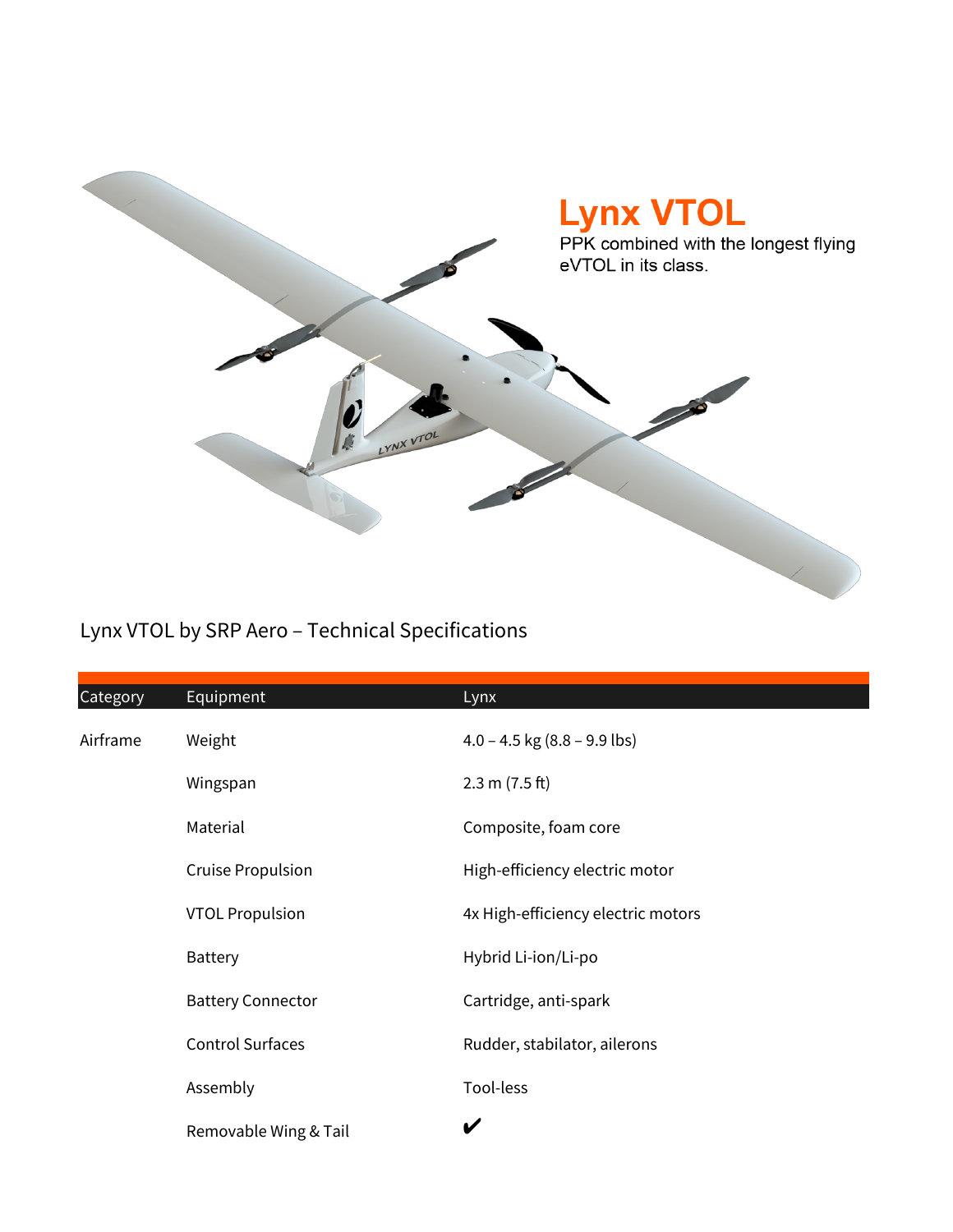

## Lynx VTOL by SRP Aero – Technical Specifications

| Category | Equipment                | Lynx                               |
|----------|--------------------------|------------------------------------|
| Airframe | Weight                   | $4.0 - 4.5$ kg (8.8 – 9.9 lbs)     |
|          | Wingspan                 | 2.3 m (7.5 ft)                     |
|          | Material                 | Composite, foam core               |
|          | <b>Cruise Propulsion</b> | High-efficiency electric motor     |
|          | <b>VTOL Propulsion</b>   | 4x High-efficiency electric motors |
|          | <b>Battery</b>           | Hybrid Li-ion/Li-po                |
|          | <b>Battery Connector</b> | Cartridge, anti-spark              |
|          | <b>Control Surfaces</b>  | Rudder, stabilator, ailerons       |
|          | Assembly                 | Tool-less                          |
|          | Removable Wing & Tail    | V                                  |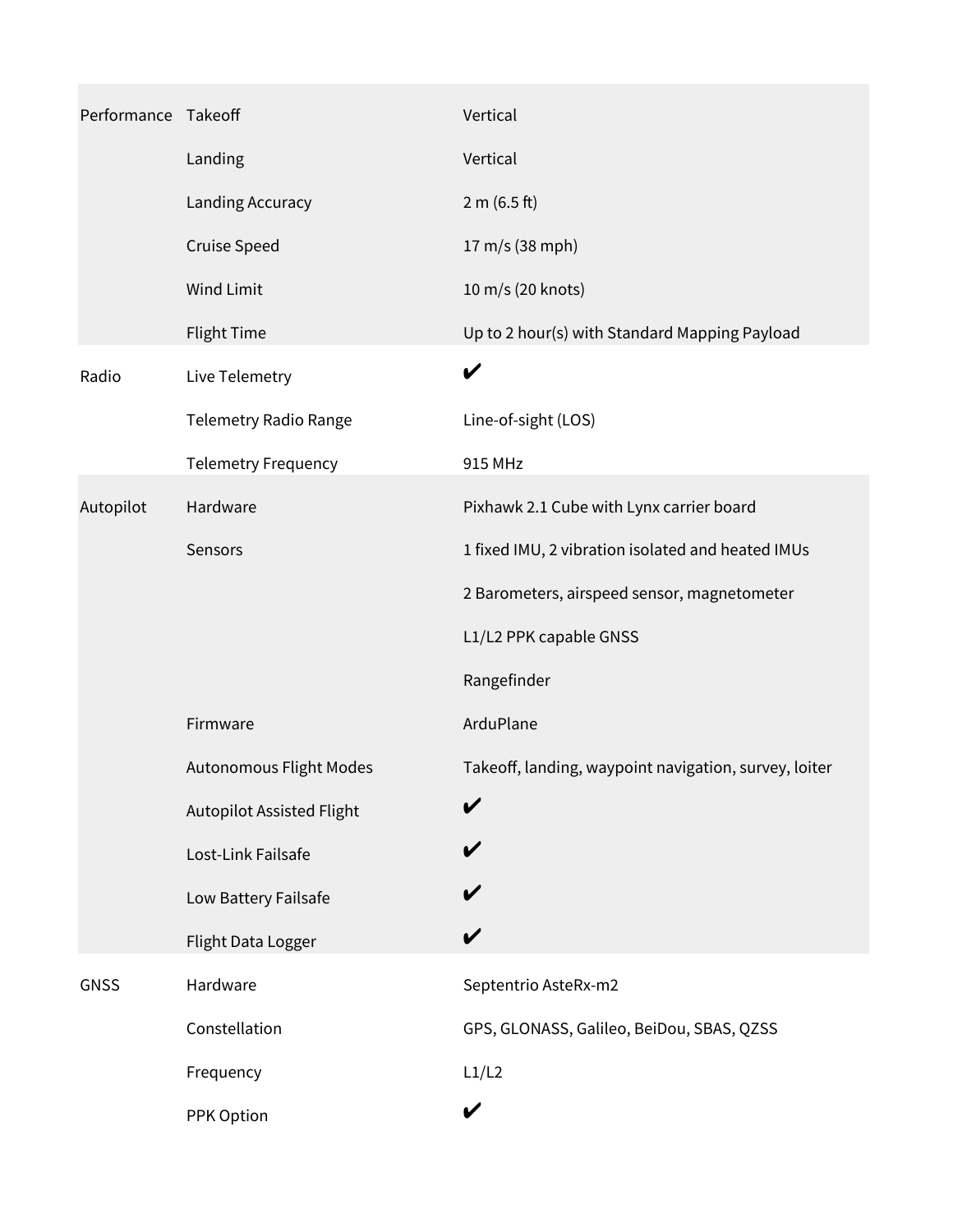| Performance Takeoff |                                  | Vertical                                              |
|---------------------|----------------------------------|-------------------------------------------------------|
|                     | Landing                          | Vertical                                              |
|                     | Landing Accuracy                 | 2 m (6.5 ft)                                          |
|                     | <b>Cruise Speed</b>              | 17 m/s (38 mph)                                       |
|                     | <b>Wind Limit</b>                | 10 m/s (20 knots)                                     |
|                     | <b>Flight Time</b>               | Up to 2 hour(s) with Standard Mapping Payload         |
| Radio               | Live Telemetry                   | V                                                     |
|                     | Telemetry Radio Range            | Line-of-sight (LOS)                                   |
|                     | <b>Telemetry Frequency</b>       | 915 MHz                                               |
| Autopilot           | Hardware                         | Pixhawk 2.1 Cube with Lynx carrier board              |
|                     | Sensors                          | 1 fixed IMU, 2 vibration isolated and heated IMUs     |
|                     |                                  | 2 Barometers, airspeed sensor, magnetometer           |
|                     |                                  | L1/L2 PPK capable GNSS                                |
|                     |                                  | Rangefinder                                           |
|                     | Firmware                         | ArduPlane                                             |
|                     | Autonomous Flight Modes          | Takeoff, landing, waypoint navigation, survey, loiter |
|                     | <b>Autopilot Assisted Flight</b> |                                                       |
|                     | Lost-Link Failsafe               |                                                       |
|                     | Low Battery Failsafe             |                                                       |
|                     | Flight Data Logger               |                                                       |
| <b>GNSS</b>         | Hardware                         | Septentrio AsteRx-m2                                  |
|                     | Constellation                    | GPS, GLONASS, Galileo, BeiDou, SBAS, QZSS             |
|                     | Frequency                        | L1/L2                                                 |
|                     | PPK Option                       | V                                                     |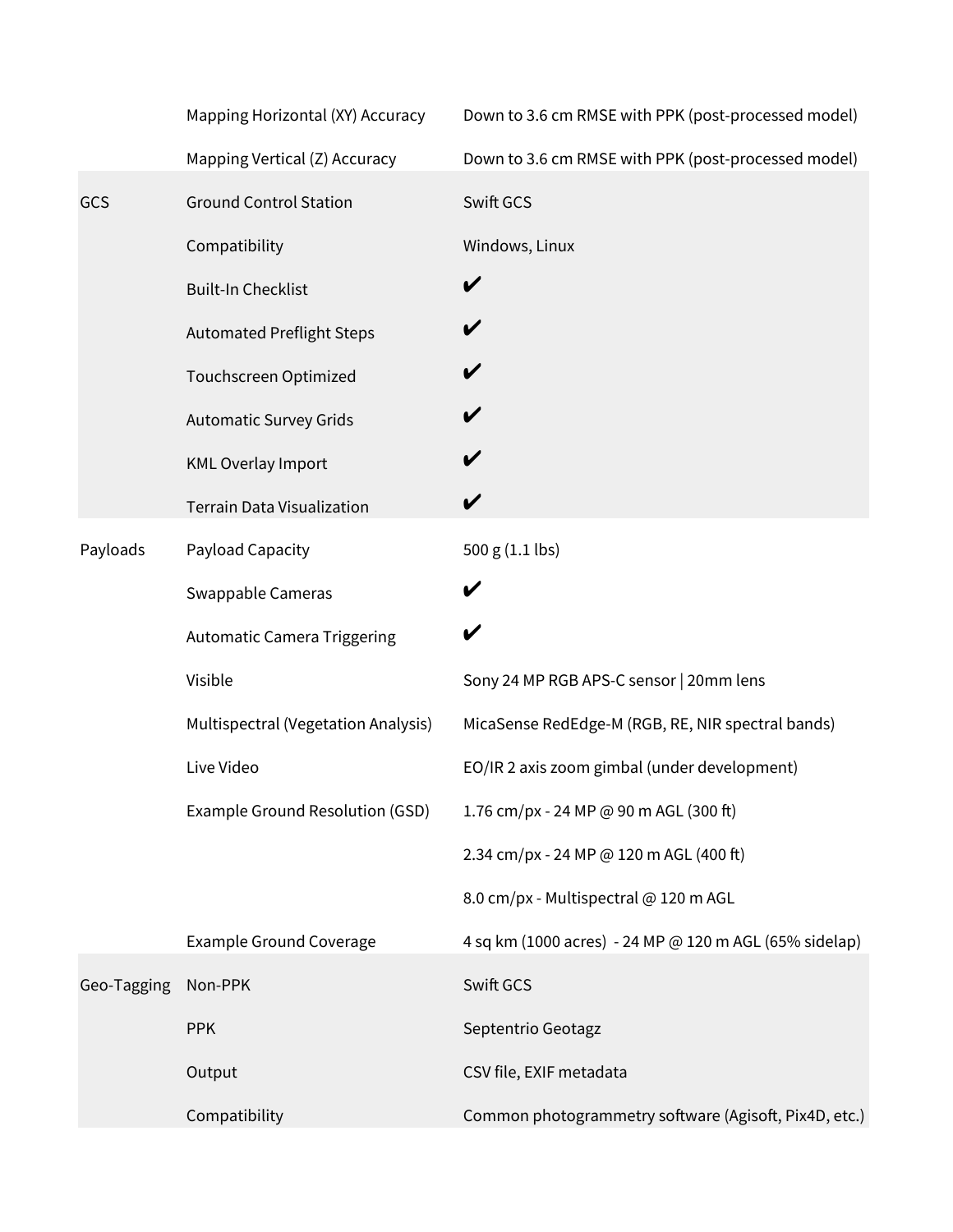|             | Mapping Horizontal (XY) Accuracy    | Down to 3.6 cm RMSE with PPK (post-processed model)    |
|-------------|-------------------------------------|--------------------------------------------------------|
|             | Mapping Vertical (Z) Accuracy       | Down to 3.6 cm RMSE with PPK (post-processed model)    |
| GCS         | <b>Ground Control Station</b>       | Swift GCS                                              |
|             | Compatibility                       | Windows, Linux                                         |
|             | <b>Built-In Checklist</b>           | V                                                      |
|             | <b>Automated Preflight Steps</b>    | V                                                      |
|             | Touchscreen Optimized               | V                                                      |
|             | <b>Automatic Survey Grids</b>       |                                                        |
|             | <b>KML Overlay Import</b>           | V                                                      |
|             | <b>Terrain Data Visualization</b>   | V                                                      |
| Payloads    | Payload Capacity                    | 500 g (1.1 lbs)                                        |
|             | Swappable Cameras                   | V                                                      |
|             | <b>Automatic Camera Triggering</b>  | V                                                      |
|             | Visible                             | Sony 24 MP RGB APS-C sensor   20mm lens                |
|             | Multispectral (Vegetation Analysis) | MicaSense RedEdge-M (RGB, RE, NIR spectral bands)      |
|             | Live Video                          | EO/IR 2 axis zoom gimbal (under development)           |
|             | Example Ground Resolution (GSD)     | 1.76 cm/px - 24 MP @ 90 m AGL (300 ft)                 |
|             |                                     | 2.34 cm/px - 24 MP @ 120 m AGL (400 ft)                |
|             |                                     | 8.0 cm/px - Multispectral @ 120 m AGL                  |
|             | <b>Example Ground Coverage</b>      | 4 sq km (1000 acres) - 24 MP @ 120 m AGL (65% sidelap) |
| Geo-Tagging | Non-PPK                             | Swift GCS                                              |
|             | <b>PPK</b>                          | Septentrio Geotagz                                     |
|             | Output                              | CSV file, EXIF metadata                                |
|             | Compatibility                       | Common photogrammetry software (Agisoft, Pix4D, etc.)  |